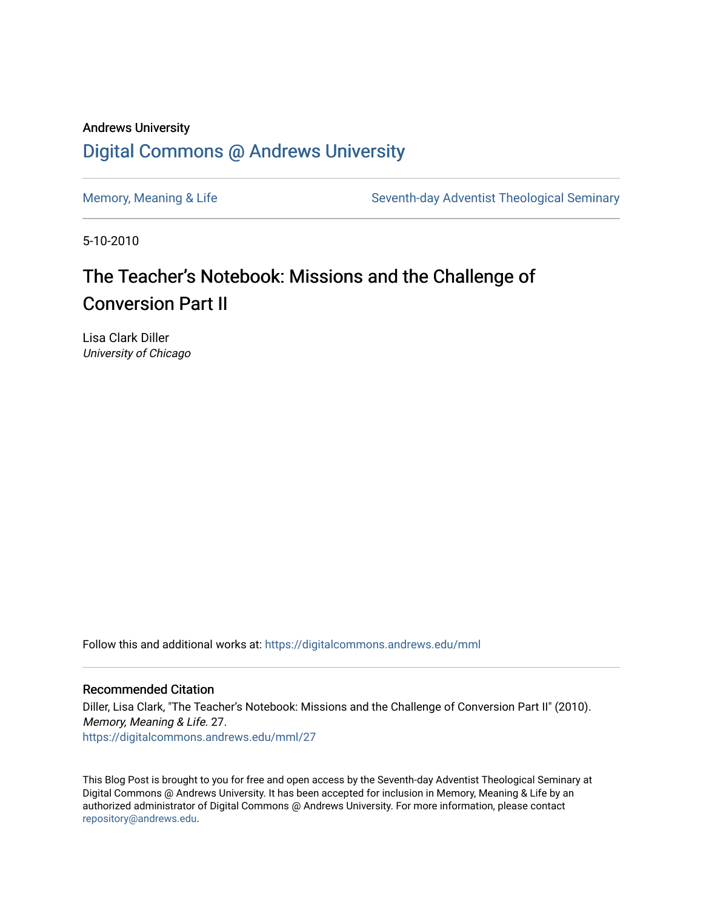## Andrews University [Digital Commons @ Andrews University](https://digitalcommons.andrews.edu/)

[Memory, Meaning & Life](https://digitalcommons.andrews.edu/mml) Seventh-day Adventist Theological Seminary

5-10-2010

# The Teacher's Notebook: Missions and the Challenge of Conversion Part II

Lisa Clark Diller University of Chicago

Follow this and additional works at: [https://digitalcommons.andrews.edu/mml](https://digitalcommons.andrews.edu/mml?utm_source=digitalcommons.andrews.edu%2Fmml%2F27&utm_medium=PDF&utm_campaign=PDFCoverPages) 

#### Recommended Citation

Diller, Lisa Clark, "The Teacher's Notebook: Missions and the Challenge of Conversion Part II" (2010). Memory, Meaning & Life. 27. [https://digitalcommons.andrews.edu/mml/27](https://digitalcommons.andrews.edu/mml/27?utm_source=digitalcommons.andrews.edu%2Fmml%2F27&utm_medium=PDF&utm_campaign=PDFCoverPages)

This Blog Post is brought to you for free and open access by the Seventh-day Adventist Theological Seminary at Digital Commons @ Andrews University. It has been accepted for inclusion in Memory, Meaning & Life by an authorized administrator of Digital Commons @ Andrews University. For more information, please contact [repository@andrews.edu](mailto:repository@andrews.edu).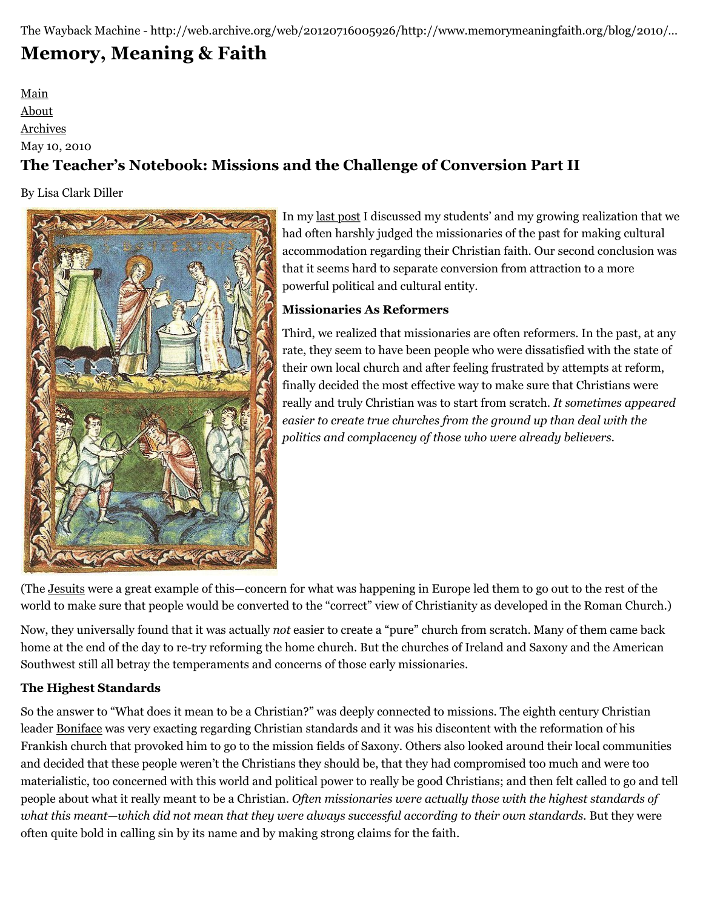The Wayback Machine - http://web.archive.org/web/20120716005926/http://www.memorymeaningfaith.org/blog/2010/…

# **[Memory, Meaning & Faith](http://web.archive.org/web/20120716005926/http://www.memorymeaningfaith.org/blog/)**

[Main](http://web.archive.org/web/20120716005926/http://www.memorymeaningfaith.org/blog) [About](http://web.archive.org/web/20120716005926/http://www.memorymeaningfaith.org/blog/about.html) [Archives](http://web.archive.org/web/20120716005926/http://www.memorymeaningfaith.org/blog/archives.html)

### May 10, 2010

## **The Teacher's Notebook: Missions and the Challenge of Conversion Part II**

By Lisa Clark Diller



In my [last post](http://web.archive.org/web/20120716005926/http://www.memorymeaningfaith.org/blog/2010/05/missions-challenge-conversion-part-i.html) I discussed my students' and my growing realization that we had often harshly judged the missionaries of the past for making cultural accommodation regarding their Christian faith. Our second conclusion was that it seems hard to separate conversion from attraction to a more powerful political and cultural entity.

### **Missionaries As Reformers**

Third, we realized that missionaries are often reformers. In the past, at any rate, they seem to have been people who were dissatisfied with the state of their own local church and after feeling frustrated by attempts at reform, finally decided the most effective way to make sure that Christians were really and truly Christian was to start from scratch. *It sometimes appeared easier to create true churches from the ground up than deal with the politics and complacency of those who were already believers.*

(The [Jesuits](http://web.archive.org/web/20120716005926/http://en.wikipedia.org/wiki/Society_of_Jesus#Early_works) were a great example of this—concern for what was happening in Europe led them to go out to the rest of the world to make sure that people would be converted to the "correct" view of Christianity as developed in the Roman Church.)

Now, they universally found that it was actually *not* easier to create a "pure" church from scratch. Many of them came back home at the end of the day to re-try reforming the home church. But the churches of Ireland and Saxony and the American Southwest still all betray the temperaments and concerns of those early missionaries.

### **The Highest Standards**

So the answer to "What does it mean to be a Christian?" was deeply connected to missions. The eighth century Christian leader [Boniface](http://web.archive.org/web/20120716005926/http://en.wikipedia.org/wiki/Saint_Boniface#Boniface_and_the_Carolingians) was very exacting regarding Christian standards and it was his discontent with the reformation of his Frankish church that provoked him to go to the mission fields of Saxony. Others also looked around their local communities and decided that these people weren't the Christians they should be, that they had compromised too much and were too materialistic, too concerned with this world and political power to really be good Christians; and then felt called to go and tell people about what it really meant to be a Christian. *Often missionaries were actually those with the highest standards of what this meant—which did not mean that they were always successful according to their own standards.* But they were often quite bold in calling sin by its name and by making strong claims for the faith.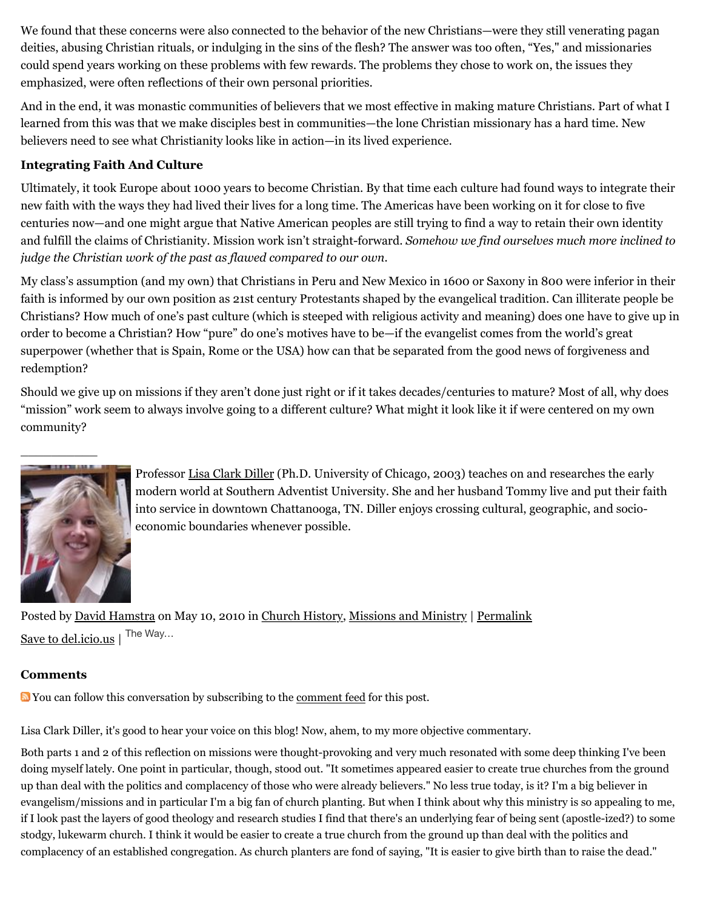We found that these concerns were also connected to the behavior of the new Christians—were they still venerating pagan deities, abusing Christian rituals, or indulging in the sins of the flesh? The answer was too often, "Yes," and missionaries could spend years working on these problems with few rewards. The problems they chose to work on, the issues they emphasized, were often reflections of their own personal priorities.

And in the end, it was monastic communities of believers that we most effective in making mature Christians. Part of what I learned from this was that we make disciples best in communities—the lone Christian missionary has a hard time. New believers need to see what Christianity looks like in action—in its lived experience.

#### **Integrating Faith And Culture**

Ultimately, it took Europe about 1000 years to become Christian. By that time each culture had found ways to integrate their new faith with the ways they had lived their lives for a long time. The Americas have been working on it for close to five centuries now—and one might argue that Native American peoples are still trying to find a way to retain their own identity and fulfill the claims of Christianity. Mission work isn't straight-forward. *Somehow we find ourselves much more inclined to judge the Christian work of the past as flawed compared to our own.*

My class's assumption (and my own) that Christians in Peru and New Mexico in 1600 or Saxony in 800 were inferior in their faith is informed by our own position as 21st century Protestants shaped by the evangelical tradition. Can illiterate people be Christians? How much of one's past culture (which is steeped with religious activity and meaning) does one have to give up in order to become a Christian? How "pure" do one's motives have to be—if the evangelist comes from the world's great superpower (whether that is Spain, Rome or the USA) how can that be separated from the good news of forgiveness and redemption?

Should we give up on missions if they aren't done just right or if it takes decades/centuries to mature? Most of all, why does "mission" work seem to always involve going to a different culture? What might it look like it if were centered on my own community?



Professor [Lisa Clark Diller](http://web.archive.org/web/20120716005926/https://www.southern.edu/history/faculty/Pages/lisadiller.aspx) (Ph.D. University of Chicago, 2003) teaches on and researches the early modern world at Southern Adventist University. She and her husband Tommy live and put their faith into service in downtown Chattanooga, TN. Diller enjoys crossing cultural, geographic, and socioeconomic boundaries whenever possible.

Posted by [David Hamstra](http://web.archive.org/web/20120716005926/http://profile.typepad.com/davidhamstra) on May 10, 2010 in [Church History,](http://web.archive.org/web/20120716005926/http://www.memorymeaningfaith.org/blog/church-history/) [Missions and Ministry](http://web.archive.org/web/20120716005926/http://www.memorymeaningfaith.org/blog/missions-and-ministry/) | [Permalink](http://web.archive.org/web/20120716005926/http://www.memorymeaningfaith.org/blog/2010/05/missions-challenge-conversion-part-ii.html) [Save to del.icio.us](http://web.archive.org/web/20120716005926/http://del.icio.us/post) | The Way...

#### **Comments**

You can follow this conversation by subscribing to the [comment feed](http://web.archive.org/web/20120716005926/http://www.memorymeaningfaith.org/blog/2010/05/missions-challenge-conversion-part-ii/comments/atom.xml) for this post.

Lisa Clark Diller, it's good to hear your voice on this blog! Now, ahem, to my more objective commentary.

Both parts 1 and 2 of this reflection on missions were thought-provoking and very much resonated with some deep thinking I've been doing myself lately. One point in particular, though, stood out. "It sometimes appeared easier to create true churches from the ground up than deal with the politics and complacency of those who were already believers." No less true today, is it? I'm a big believer in evangelism/missions and in particular I'm a big fan of church planting. But when I think about why this ministry is so appealing to me, if I look past the layers of good theology and research studies I find that there's an underlying fear of being sent (apostle-ized?) to some stodgy, lukewarm church. I think it would be easier to create a true church from the ground up than deal with the politics and complacency of an established congregation. As church planters are fond of saying, "It is easier to give birth than to raise the dead."